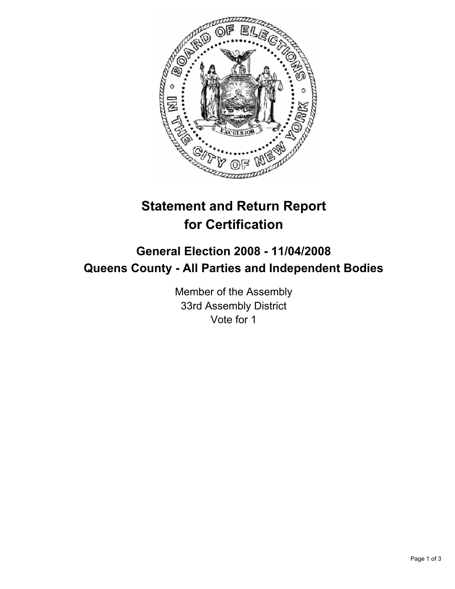

# **Statement and Return Report for Certification**

## **General Election 2008 - 11/04/2008 Queens County - All Parties and Independent Bodies**

Member of the Assembly 33rd Assembly District Vote for 1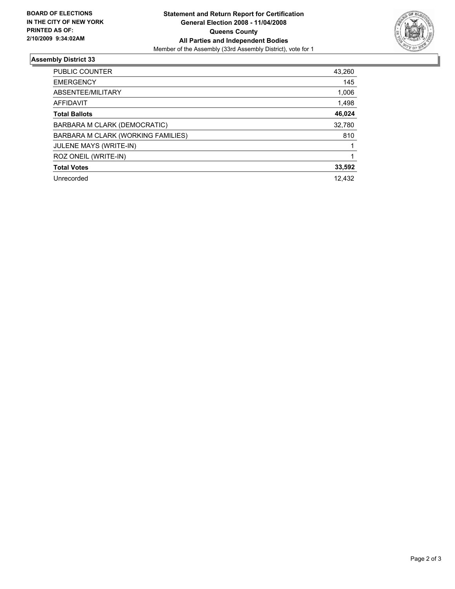

#### **Assembly District 33**

| <b>PUBLIC COUNTER</b>              | 43,260 |
|------------------------------------|--------|
| <b>EMERGENCY</b>                   | 145    |
| ABSENTEE/MILITARY                  | 1,006  |
| AFFIDAVIT                          | 1,498  |
| <b>Total Ballots</b>               | 46,024 |
| BARBARA M CLARK (DEMOCRATIC)       | 32,780 |
| BARBARA M CLARK (WORKING FAMILIES) | 810    |
| JULENE MAYS (WRITE-IN)             |        |
| ROZ ONEIL (WRITE-IN)               |        |
| <b>Total Votes</b>                 | 33,592 |
| Unrecorded                         | 12,432 |